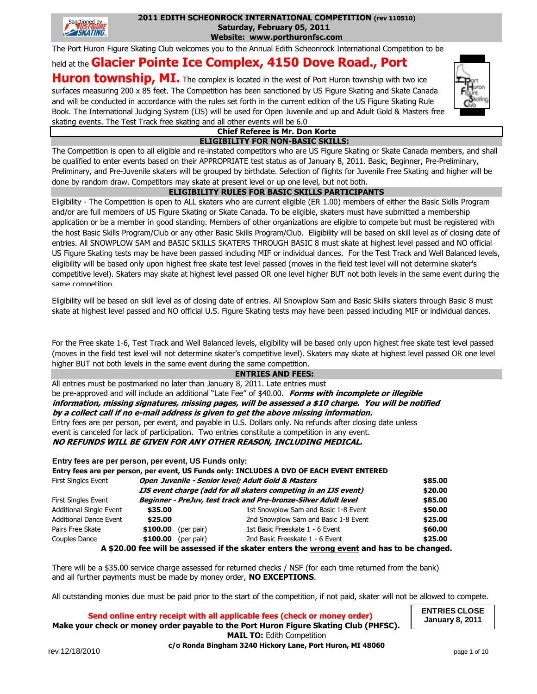

#### **2011 EDITH SCHEONROCK INTERNATIONAL COMPETITION (rev 110510) Saturday, February 05, 2011**

**Website: www.porthuronfsc.com**

The Port Huron Figure Skating Club welcomes you to the Annual Edith Scheonrock International Competition to be

# held at the **Glacier Pointe Ice Complex, 4150 Dove Road., Port**

**Huron township, MI.** The complex is located in the west of Port Huron township with two ice surfaces measuring 200 x 85 feet. The Competition has been sanctioned by US Figure Skating and Skate Canada and will be conducted in accordance with the rules set forth in the current edition of the US Figure Skating Rule Book. The International Judging System (IJS) will be used for Open Juvenile and up and Adult Gold & Masters free skating events. The Test Track free skating and all other events will be 6.0



#### **ELIGIBILITY FOR NON-BASIC SKILLS: Chief Referee is Mr. Don Korte**

The Competition is open to all eligible and re-instated competitors who are US Figure Skating or Skate Canada members, and shall be qualified to enter events based on their APPROPRIATE test status as of January 8, 2011. Basic, Beginner, Pre-Preliminary, Preliminary, and Pre-Juvenile skaters will be grouped by birthdate. Selection of flights for Juvenile Free Skating and higher will be done by random draw. Competitors may skate at present level or up one level, but not both.

#### **ELIGIBILITY RULES FOR BASIC SKILLS PARTICIPANTS**

Eligibility - The Competition is open to ALL skaters who are current eligible (ER 1.00) members of either the Basic Skills Program and/or are full members of US Figure Skating or Skate Canada. To be eligible, skaters must have submitted a membership application or be a member in good standing. Members of other organizations are eligible to compete but must be registered with the host Basic Skills Program/Club or any other Basic Skills Program/Club. Eligibility will be based on skill level as of closing date of entries. All SNOWPLOW SAM and BASIC SKILLS SKATERS THROUGH BASIC 8 must skate at highest level passed and NO official US Figure Skating tests may be have been passed including MIF or individual dances. For the Test Track and Well Balanced levels, eligibility will be based only upon highest free skate test level passed (moves in the field test level will not determine skater's competitive level). Skaters may skate at highest level passed OR one level higher BUT not both levels in the same event during the same competition

Eligibility will be based on skill level as of closing date of entries. All Snowplow Sam and Basic Skills skaters through Basic 8 must skate at highest level passed and NO official U.S. Figure Skating tests may have been passed including MIF or individual dances.

For the Free skate 1-6, Test Track and Well Balanced levels, eligibility will be based only upon highest free skate test level passed (moves in the field test level will not determine skater's competitive level). Skaters may skate at highest level passed OR one level higher BUT not both levels in the same event during the same competition.

#### **ENTRIES AND FEES:**

All entries must be postmarked no later than January 8, 2011. Late entries must be pre-approved and will include an additional "Late Fee" of \$40.00. **Forms with incomplete or illegible information, missing signatures, missing pages, will be assessed a \$10 charge. You will be notified by a collect call if no e-mail address is given to get the above missing information.** Entry fees are per person, per event, and payable in U.S. Dollars only. No refunds after closing date unless event is canceled for lack of participation. Two entries constitute a competition in any event. **NO REFUNDS WILL BE GIVEN FOR ANY OTHER REASON, INCLUDING MEDICAL.**

#### **Entry fees are per person, per event, US Funds only:**

|                                |                                                                         |            | Entry fees are per person, per event, US Funds only: INCLUDES A DVD OF EACH EVENT ENTERED |         |
|--------------------------------|-------------------------------------------------------------------------|------------|-------------------------------------------------------------------------------------------|---------|
| <b>First Singles Event</b>     | Open Juvenile - Senior level; Adult Gold & Masters                      |            |                                                                                           | \$85.00 |
|                                | <b>IJS</b> event charge (add for all skaters competing in an IJS event) |            |                                                                                           |         |
| <b>First Singles Event</b>     |                                                                         |            | Beginner - PreJuv, test track and Pre-bronze-Silver Adult level                           | \$85.00 |
| <b>Additional Single Event</b> | \$35.00                                                                 |            | 1st Snowplow Sam and Basic 1-8 Event                                                      | \$50.00 |
| <b>Additional Dance Event</b>  | \$25.00                                                                 |            | 2nd Snowplow Sam and Basic 1-8 Event                                                      | \$25.00 |
| Pairs Free Skate               | \$100.00                                                                | (per pair) | 1st Basic Freeskate 1 - 6 Event                                                           | \$60.00 |
| Couples Dance                  | \$100.00                                                                | (per pair) | 2nd Basic Freeskate 1 - 6 Event                                                           | \$25.00 |
|                                |                                                                         |            | A ¢20.00 fee will be accessed if the clater enters the wrong event and has to be shapes   |         |

**A \$20.00 fee will be assessed if the skater enters the wrong event and has to be changed.**

There will be a \$35.00 service charge assessed for returned checks / NSF (for each time returned from the bank) and all further payments must be made by money order, **NO EXCEPTIONS**.

All outstanding monies due must be paid prior to the start of the competition, if not paid, skater will not be allowed to compete.

**Make your check or money order payable to the Port Huron Figure Skating Club (PHFSC). Send online entry receipt with all applicable fees (check or money order) MAIL TO:** Edith Competition **c/o Ronda Bingham 3240 Hickory Lane, Port Huron, MI 48060**

**ENTRIES CLOSE January 8, 2011**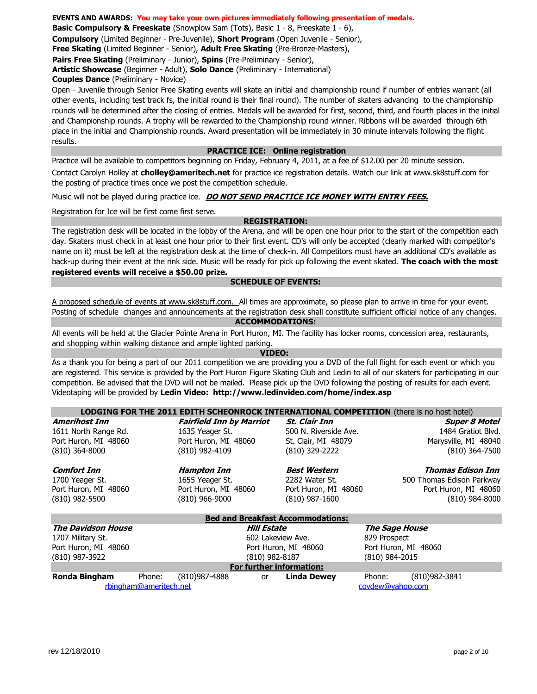**Basic Compulsory & Freeskate** (Snowplow Sam (Tots), Basic 1 - 8, Freeskate 1 - 6),

**Compulsory** (Limited Beginner - Pre-Juvenile), **Short Program** (Open Juvenile - Senior),

**Free Skating** (Limited Beginner - Senior), **Adult Free Skating** (Pre-Bronze-Masters),

**Pairs Free Skating** (Preliminary - Junior), **Spins** (Pre-Preliminary - Senior),

**Artistic Showcase** (Beginner - Adult), **Solo Dance** (Preliminary - International)

**Couples Dance** (Preliminary - Novice)

Open - Juvenile through Senior Free Skating events will skate an initial and championship round if number of entries warrant (all other events, including test track fs, the initial round is their final round). The number of skaters advancing to the championship rounds will be determined after the closing of entries. Medals will be awarded for first, second, third, and fourth places in the initial and Championship rounds. A trophy will be rewarded to the Championship round winner. Ribbons will be awarded through 6th place in the initial and Championship rounds. Award presentation will be immediately in 30 minute intervals following the flight results.

#### **PRACTICE ICE: Online registration**

Practice will be available to competitors beginning on Friday, February 4, 2011, at a fee of \$12.00 per 20 minute session. Contact Carolyn Holley at **cholley@ameritech.net** for practice ice registration details. Watch our link at www.sk8stuff.com for the posting of practice times once we post the competition schedule.

Music will not be played during practice ice. **DO NOT SEND PRACTICE ICE MONEY WITH ENTRY FEES.**

Registration for Ice will be first come first serve.

#### **REGISTRATION:**

The registration desk will be located in the lobby of the Arena, and will be open one hour prior to the start of the competition each day. Skaters must check in at least one hour prior to their first event. CD's will only be accepted (clearly marked with competitor's name on it) must be left at the registration desk at the time of check-in. All Competitors must have an additional CD's available as back-up during their event at the rink side. Music will be ready for pick up following the event skated. **The coach with the most registered events will receive a \$50.00 prize.**

#### **SCHEDULE OF EVENTS:**

A proposed schedule of events at www.sk8stuff.com. All times are approximate, so please plan to arrive in time for your event. Posting of schedule changes and announcements at the registration desk shall constitute sufficient official notice of any changes.

#### **ACCOMMODATIONS:**

All events will be held at the Glacier Pointe Arena in Port Huron, MI. The facility has locker rooms, concession area, restaurants, and shopping within walking distance and ample lighted parking.

**VIDEO:** 

Videotaping will be provided by **Ledin Video: http://www.ledinvideo.com/home/index.asp** As a thank you for being a part of our 2011 competition we are providing you a DVD of the full flight for each event or which you are registered. This service is provided by the Port Huron Figure Skating Club and Ledin to all of our skaters for participating in our competition. Be advised that the DVD will not be mailed. Please pick up the DVD following the posting of results for each event.

| LODGING FOR THE 2011 EDITH SCHEONROCK INTERNATIONAL COMPETITION (there is no host hotel) |                                            |                                 |                   |                       |                |                           |
|------------------------------------------------------------------------------------------|--------------------------------------------|---------------------------------|-------------------|-----------------------|----------------|---------------------------|
| <b>Amerihost Inn</b>                                                                     |                                            | <b>Fairfield Inn by Marriot</b> |                   | <b>St. Clair Inn</b>  |                | <b>Super 8 Motel</b>      |
| 1611 North Range Rd.                                                                     |                                            | 1635 Yeager St.                 |                   | 500 N. Riverside Ave. |                | 1484 Gratiot Blvd.        |
| Port Huron, MI 48060                                                                     |                                            | Port Huron, MI 48060            |                   | St. Clair, MI 48079   |                | Marysville, MI 48040      |
| $(810)$ 364-8000                                                                         |                                            | (810) 982-4109                  |                   | (810) 329-2222        |                | $(810)$ 364-7500          |
| <b>Comfort Inn</b>                                                                       |                                            | Hampton Inn                     |                   | <b>Best Western</b>   |                | Thomas Edison Inn         |
| 1700 Yeager St.                                                                          |                                            | 1655 Yeager St.                 |                   | 2282 Water St.        |                | 500 Thomas Edison Parkway |
| Port Huron, MI 48060                                                                     |                                            | Port Huron, MI 48060            |                   | Port Huron, MI 48060  |                | Port Huron, MI 48060      |
| $(810)$ 982-5500                                                                         |                                            | $(810)$ 966-9000                |                   | $(810)$ 987-1600      |                | $(810)$ 984-8000          |
| <b>Bed and Breakfast Accommodations:</b>                                                 |                                            |                                 |                   |                       |                |                           |
| <b>The Davidson House</b>                                                                |                                            |                                 | Hill Estate       |                       |                | The Sage House            |
| 1707 Military St.                                                                        |                                            |                                 | 602 Lakeview Ave. |                       | 829 Prospect   |                           |
| Port Huron, MI 48060                                                                     |                                            |                                 |                   | Port Huron, MI 48060  |                | Port Huron, MI 48060      |
| (810) 987-3922                                                                           |                                            |                                 | (810) 982-8187    |                       | (810) 984-2015 |                           |
| For further information:                                                                 |                                            |                                 |                   |                       |                |                           |
| <b>Ronda Bingham</b>                                                                     | Phone:                                     | (810) 987-4888                  | or                | <b>Linda Dewey</b>    | Phone:         | (810)982-3841             |
|                                                                                          | rbingham@ameritech.net<br>covdew@yahoo.com |                                 |                   |                       |                |                           |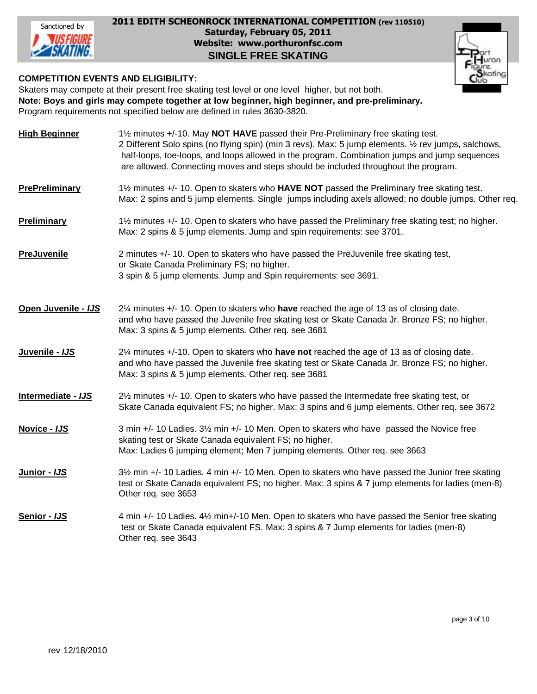

#### **Saturday, February 05, 2011 2011 EDITH SCHEONROCK INTERNATIONAL COMPETITION (rev 110510) Website: www.porthuronfsc.com SINGLE FREE SKATING**

#### **COMPETITION EVENTS AND ELIGIBILITY:**

Skaters may compete at their present free skating test level or one level higher, but not both. **Note: Boys and girls may compete together at low beginner, high beginner, and pre-preliminary.** Program requirements not specified below are defined in rules 3630-3820.

| <b>High Beginner</b>  | 1½ minutes +/-10. May NOT HAVE passed their Pre-Preliminary free skating test.<br>2 Different Solo spins (no flying spin) (min 3 revs). Max: 5 jump elements. 1/2 rev jumps, salchows,<br>half-loops, toe-loops, and loops allowed in the program. Combination jumps and jump sequences<br>are allowed. Connecting moves and steps should be included throughout the program. |
|-----------------------|-------------------------------------------------------------------------------------------------------------------------------------------------------------------------------------------------------------------------------------------------------------------------------------------------------------------------------------------------------------------------------|
| <b>PrePreliminary</b> | 1½ minutes +/- 10. Open to skaters who HAVE NOT passed the Preliminary free skating test.<br>Max: 2 spins and 5 jump elements. Single jumps including axels allowed; no double jumps. Other req.                                                                                                                                                                              |
| <b>Preliminary</b>    | 1½ minutes +/- 10. Open to skaters who have passed the Preliminary free skating test; no higher.<br>Max: 2 spins & 5 jump elements. Jump and spin requirements: see 3701.                                                                                                                                                                                                     |
| <b>PreJuvenile</b>    | 2 minutes +/- 10. Open to skaters who have passed the PreJuvenile free skating test,<br>or Skate Canada Preliminary FS; no higher.<br>3 spin & 5 jump elements. Jump and Spin requirements: see 3691.                                                                                                                                                                         |
| Open Juvenile - IJS   | 2¼ minutes +/- 10. Open to skaters who have reached the age of 13 as of closing date.<br>and who have passed the Juvenile free skating test or Skate Canada Jr. Bronze FS; no higher.<br>Max: 3 spins & 5 jump elements. Other req. see 3681                                                                                                                                  |
| Juvenile - IJS        | 2¼ minutes +/-10. Open to skaters who have not reached the age of 13 as of closing date.<br>and who have passed the Juvenile free skating test or Skate Canada Jr. Bronze FS; no higher.<br>Max: 3 spins & 5 jump elements. Other req. see 3681                                                                                                                               |
| Intermediate - IJS    | 21/2 minutes +/- 10. Open to skaters who have passed the Intermedate free skating test, or<br>Skate Canada equivalent FS; no higher. Max: 3 spins and 6 jump elements. Other req. see 3672                                                                                                                                                                                    |
| Novice - IJS          | 3 min +/- 10 Ladies. 3½ min +/- 10 Men. Open to skaters who have passed the Novice free<br>skating test or Skate Canada equivalent FS; no higher.<br>Max: Ladies 6 jumping element; Men 7 jumping elements. Other req. see 3663                                                                                                                                               |
| Junior - IJS          | 3½ min +/- 10 Ladies. 4 min +/- 10 Men. Open to skaters who have passed the Junior free skating<br>test or Skate Canada equivalent FS; no higher. Max: 3 spins & 7 jump elements for ladies (men-8)<br>Other req. see 3653                                                                                                                                                    |
| Senior - IJS          | 4 min +/- 10 Ladies. 4½ min+/-10 Men. Open to skaters who have passed the Senior free skating<br>test or Skate Canada equivalent FS. Max: 3 spins & 7 Jump elements for ladies (men-8)<br>Other req. see 3643                                                                                                                                                                 |

rating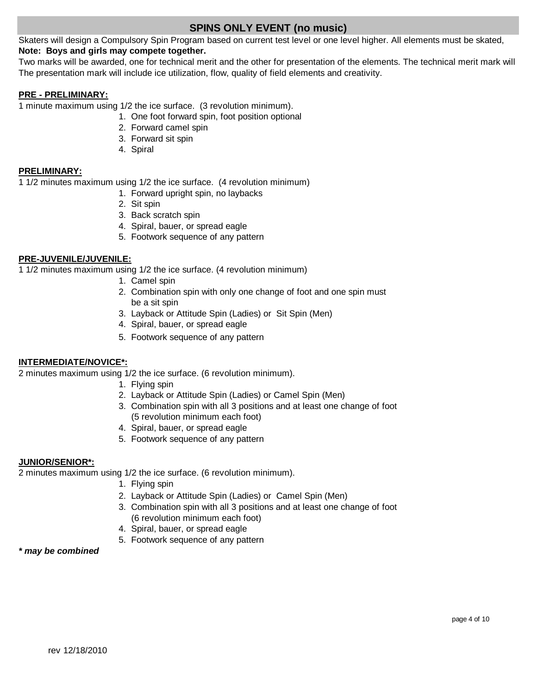# **SPINS ONLY EVENT (no music)**

Skaters will design a Compulsory Spin Program based on current test level or one level higher. All elements must be skated, **Note: Boys and girls may compete together.**

The presentation mark will include ice utilization, flow, quality of field elements and creativity. Two marks will be awarded, one for technical merit and the other for presentation of the elements. The technical merit mark will

#### **PRE - PRELIMINARY:**

1 minute maximum using 1/2 the ice surface. (3 revolution minimum).

- 1. One foot forward spin, foot position optional
- 2. Forward camel spin
- 3. Forward sit spin
- 4. Spiral

#### **PRELIMINARY:**

1 1/2 minutes maximum using 1/2 the ice surface. (4 revolution minimum)

- 1. Forward upright spin, no laybacks
- 2. Sit spin
- 3. Back scratch spin
- 4. Spiral, bauer, or spread eagle
- 5. Footwork sequence of any pattern

#### **PRE-JUVENILE/JUVENILE:**

1 1/2 minutes maximum using 1/2 the ice surface. (4 revolution minimum)

- 1. Camel spin
- 2. Combination spin with only one change of foot and one spin must be a sit spin
- 3. Layback or Attitude Spin (Ladies) or Sit Spin (Men)
- 4. Spiral, bauer, or spread eagle
- 5. Footwork sequence of any pattern

#### **INTERMEDIATE/NOVICE\*:**

2 minutes maximum using 1/2 the ice surface. (6 revolution minimum).

- 1. Flying spin
- 2. Layback or Attitude Spin (Ladies) or Camel Spin (Men)
- 3. Combination spin with all 3 positions and at least one change of foot (5 revolution minimum each foot)
- 4. Spiral, bauer, or spread eagle
- 5. Footwork sequence of any pattern

#### **JUNIOR/SENIOR\*:**

2 minutes maximum using 1/2 the ice surface. (6 revolution minimum).

- 1. Flying spin
- 2. Layback or Attitude Spin (Ladies) or Camel Spin (Men)
- 3. Combination spin with all 3 positions and at least one change of foot (6 revolution minimum each foot)
- 4. Spiral, bauer, or spread eagle
- 5. Footwork sequence of any pattern

#### *\* may be combined*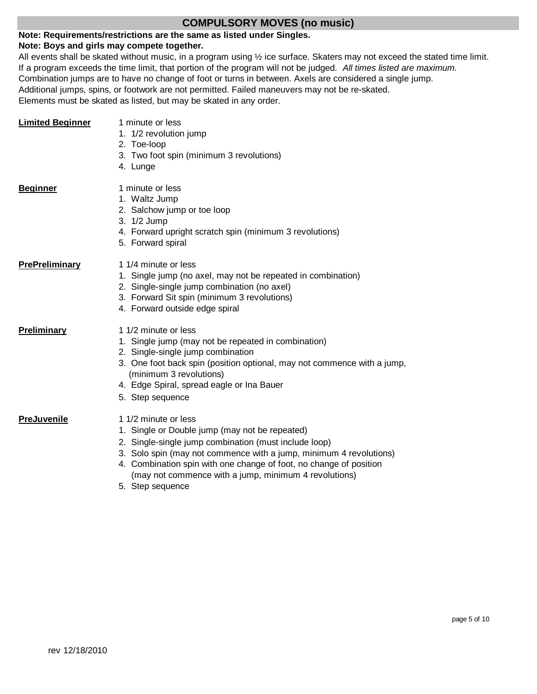## **COMPULSORY MOVES (no music)**

#### **Note: Requirements/restrictions are the same as listed under Singles.**

### **Note: Boys and girls may compete together.**

All events shall be skated without music, in a program using ½ ice surface. Skaters may not exceed the stated time limit. If a program exceeds the time limit, that portion of the program will not be judged. *All times listed are maximum.* Combination jumps are to have no change of foot or turns in between. Axels are considered a single jump. Additional jumps, spins, or footwork are not permitted. Failed maneuvers may not be re-skated. Elements must be skated as listed, but may be skated in any order.

| <b>Limited Beginner</b> | 1 minute or less<br>1. 1/2 revolution jump<br>2. Toe-loop<br>3. Two foot spin (minimum 3 revolutions)<br>4. Lunge                                                                                                                                                                                                                    |
|-------------------------|--------------------------------------------------------------------------------------------------------------------------------------------------------------------------------------------------------------------------------------------------------------------------------------------------------------------------------------|
| <b>Beginner</b>         | 1 minute or less<br>1. Waltz Jump<br>2. Salchow jump or toe loop<br>3. 1/2 Jump<br>4. Forward upright scratch spin (minimum 3 revolutions)<br>5. Forward spiral                                                                                                                                                                      |
| <b>PrePreliminary</b>   | 1 1/4 minute or less<br>1. Single jump (no axel, may not be repeated in combination)<br>2. Single-single jump combination (no axel)<br>3. Forward Sit spin (minimum 3 revolutions)<br>4. Forward outside edge spiral                                                                                                                 |
| Preliminary             | 1 1/2 minute or less<br>1. Single jump (may not be repeated in combination)<br>2. Single-single jump combination<br>3. One foot back spin (position optional, may not commence with a jump,<br>(minimum 3 revolutions)<br>4. Edge Spiral, spread eagle or Ina Bauer<br>5. Step sequence                                              |
| <b>PreJuvenile</b>      | 1 1/2 minute or less<br>1. Single or Double jump (may not be repeated)<br>2. Single-single jump combination (must include loop)<br>3. Solo spin (may not commence with a jump, minimum 4 revolutions)<br>4. Combination spin with one change of foot, no change of position<br>(may not commence with a jump, minimum 4 revolutions) |

5. Step sequence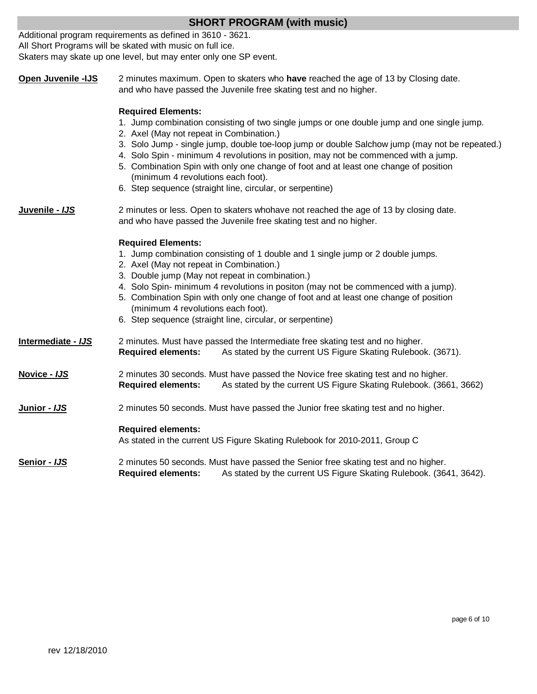|                    | Additional program requirements as defined in 3610 - 3621.                                                                                                                                                                                                                                                                                                                                                                                                                                                                                              |  |  |  |
|--------------------|---------------------------------------------------------------------------------------------------------------------------------------------------------------------------------------------------------------------------------------------------------------------------------------------------------------------------------------------------------------------------------------------------------------------------------------------------------------------------------------------------------------------------------------------------------|--|--|--|
|                    | All Short Programs will be skated with music on full ice.<br>Skaters may skate up one level, but may enter only one SP event.                                                                                                                                                                                                                                                                                                                                                                                                                           |  |  |  |
|                    |                                                                                                                                                                                                                                                                                                                                                                                                                                                                                                                                                         |  |  |  |
| Open Juvenile -IJS | 2 minutes maximum. Open to skaters who have reached the age of 13 by Closing date.<br>and who have passed the Juvenile free skating test and no higher.                                                                                                                                                                                                                                                                                                                                                                                                 |  |  |  |
|                    | <b>Required Elements:</b><br>1. Jump combination consisting of two single jumps or one double jump and one single jump.<br>2. Axel (May not repeat in Combination.)<br>3. Solo Jump - single jump, double toe-loop jump or double Salchow jump (may not be repeated.)<br>4. Solo Spin - minimum 4 revolutions in position, may not be commenced with a jump.<br>5. Combination Spin with only one change of foot and at least one change of position<br>(minimum 4 revolutions each foot).<br>6. Step sequence (straight line, circular, or serpentine) |  |  |  |
| Juvenile - IJS     | 2 minutes or less. Open to skaters whohave not reached the age of 13 by closing date.<br>and who have passed the Juvenile free skating test and no higher.                                                                                                                                                                                                                                                                                                                                                                                              |  |  |  |
|                    | <b>Required Elements:</b><br>1. Jump combination consisting of 1 double and 1 single jump or 2 double jumps.<br>2. Axel (May not repeat in Combination.)<br>3. Double jump (May not repeat in combination.)<br>4. Solo Spin- minimum 4 revolutions in positon (may not be commenced with a jump).<br>5. Combination Spin with only one change of foot and at least one change of position<br>(minimum 4 revolutions each foot).<br>6. Step sequence (straight line, circular, or serpentine)                                                            |  |  |  |
| Intermediate - IJS | 2 minutes. Must have passed the Intermediate free skating test and no higher.<br>As stated by the current US Figure Skating Rulebook. (3671).<br><b>Required elements:</b>                                                                                                                                                                                                                                                                                                                                                                              |  |  |  |
| Novice - IJS       | 2 minutes 30 seconds. Must have passed the Novice free skating test and no higher.<br><b>Required elements:</b><br>As stated by the current US Figure Skating Rulebook. (3661, 3662)                                                                                                                                                                                                                                                                                                                                                                    |  |  |  |
| Junior - IJS       | 2 minutes 50 seconds. Must have passed the Junior free skating test and no higher.                                                                                                                                                                                                                                                                                                                                                                                                                                                                      |  |  |  |
|                    | <b>Required elements:</b><br>As stated in the current US Figure Skating Rulebook for 2010-2011, Group C                                                                                                                                                                                                                                                                                                                                                                                                                                                 |  |  |  |
| Senior - IJS       | 2 minutes 50 seconds. Must have passed the Senior free skating test and no higher.<br>As stated by the current US Figure Skating Rulebook. (3641, 3642).<br><b>Required elements:</b>                                                                                                                                                                                                                                                                                                                                                                   |  |  |  |

**SHORT PROGRAM (with music)**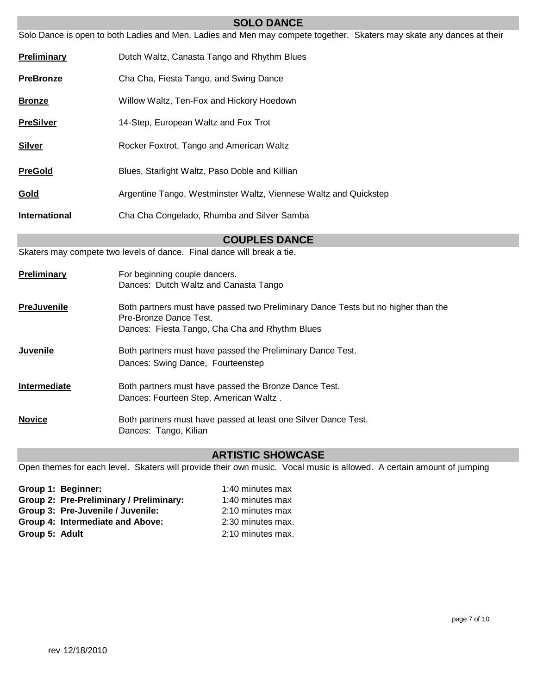|                      | Solo Dance is open to both Ladies and Men. Ladies and Men may compete together. Skaters may skate any dances at their                                         |  |
|----------------------|---------------------------------------------------------------------------------------------------------------------------------------------------------------|--|
| <b>Preliminary</b>   | Dutch Waltz, Canasta Tango and Rhythm Blues                                                                                                                   |  |
| <b>PreBronze</b>     | Cha Cha, Fiesta Tango, and Swing Dance                                                                                                                        |  |
| <b>Bronze</b>        | Willow Waltz, Ten-Fox and Hickory Hoedown                                                                                                                     |  |
| <b>PreSilver</b>     | 14-Step, European Waltz and Fox Trot                                                                                                                          |  |
| <u>Silver</u>        | Rocker Foxtrot, Tango and American Waltz                                                                                                                      |  |
| <b>PreGold</b>       | Blues, Starlight Waltz, Paso Doble and Killian                                                                                                                |  |
| <u>Gold</u>          | Argentine Tango, Westminster Waltz, Viennese Waltz and Quickstep                                                                                              |  |
| <b>International</b> | Cha Cha Congelado, Rhumba and Silver Samba                                                                                                                    |  |
|                      | <b>COUPLES DANCE</b>                                                                                                                                          |  |
|                      | Skaters may compete two levels of dance. Final dance will break a tie.                                                                                        |  |
| <b>Preliminary</b>   | For beginning couple dancers.<br>Dances: Dutch Waltz and Canasta Tango                                                                                        |  |
| <b>PreJuvenile</b>   | Both partners must have passed two Preliminary Dance Tests but no higher than the<br>Pre-Bronze Dance Test.<br>Dances: Fiesta Tango, Cha Cha and Rhythm Blues |  |
| <u>Juvenile</u>      | Both partners must have passed the Preliminary Dance Test.<br>Dances: Swing Dance, Fourteenstep                                                               |  |
| Intermediate         | Both partners must have passed the Bronze Dance Test.<br>Dances: Fourteen Step, American Waltz.                                                               |  |
| <b>Novice</b>        | Both partners must have passed at least one Silver Dance Test.<br>Dances: Tango, Kilian                                                                       |  |

**SOLO DANCE**

# **ARTISTIC SHOWCASE**

Open themes for each level. Skaters will provide their own music. Vocal music is allowed. A certain amount of jumping

| Group 1: Beginner:                      | 1:40 minutes max  |
|-----------------------------------------|-------------------|
| Group 2: Pre-Preliminary / Preliminary: | 1:40 minutes max  |
| Group 3: Pre-Juvenile / Juvenile:       | 2:10 minutes max  |
| Group 4: Intermediate and Above:        | 2:30 minutes max. |
| Group 5: Adult                          | 2:10 minutes max. |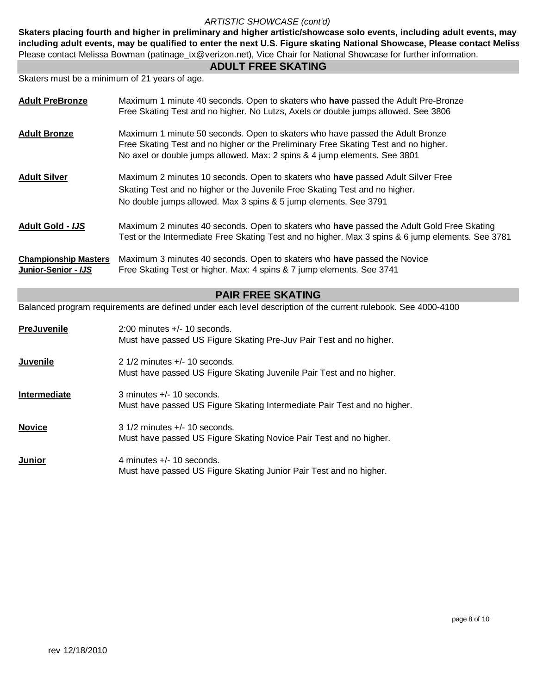#### *ARTISTIC SHOWCASE (cont'd)*

Skaters placing fourth and higher in preliminary and higher artistic/showcase solo events, including adult events, may Please contact Melissa Bowman (patinage\_tx@verizon.net), Vice Chair for National Showcase for further information. including adult events, may be qualified to enter the next U.S. Figure skating National Showcase, Please contact Meliss

#### **ADULT FREE SKATING**

Skaters must be a minimum of 21 years of age.

| <b>Adult PreBronze</b>                             | Maximum 1 minute 40 seconds. Open to skaters who have passed the Adult Pre-Bronze<br>Free Skating Test and no higher. No Lutzs, Axels or double jumps allowed. See 3806                                                                           |
|----------------------------------------------------|---------------------------------------------------------------------------------------------------------------------------------------------------------------------------------------------------------------------------------------------------|
| <b>Adult Bronze</b>                                | Maximum 1 minute 50 seconds. Open to skaters who have passed the Adult Bronze<br>Free Skating Test and no higher or the Preliminary Free Skating Test and no higher.<br>No axel or double jumps allowed. Max: 2 spins & 4 jump elements. See 3801 |
| <b>Adult Silver</b>                                | Maximum 2 minutes 10 seconds. Open to skaters who have passed Adult Silver Free<br>Skating Test and no higher or the Juvenile Free Skating Test and no higher.<br>No double jumps allowed. Max 3 spins & 5 jump elements. See 3791                |
| <b>Adult Gold - IJS</b>                            | Maximum 2 minutes 40 seconds. Open to skaters who have passed the Adult Gold Free Skating<br>Test or the Intermediate Free Skating Test and no higher. Max 3 spins & 6 jump elements. See 3781                                                    |
| <b>Championship Masters</b><br>Junior-Senior - IJS | Maximum 3 minutes 40 seconds. Open to skaters who have passed the Novice<br>Free Skating Test or higher. Max: 4 spins & 7 jump elements. See 3741                                                                                                 |
|                                                    | <b>PAIR FREE SKATING</b>                                                                                                                                                                                                                          |
|                                                    | Balanced program requirements are defined under each level description of the current rulebook. See 4000-4100                                                                                                                                     |
| <b>PreJuvenile</b>                                 | 2:00 minutes +/- 10 seconds.<br>Must have passed US Figure Skating Pre-Juv Pair Test and no higher.                                                                                                                                               |
| <b>Juvenile</b>                                    | 2 1/2 minutes +/- 10 seconds.<br>Must have passed US Figure Skating Juvenile Pair Test and no higher.                                                                                                                                             |
| Intermediate                                       | 3 minutes +/- 10 seconds.<br>Must have passed US Figure Skating Intermediate Pair Test and no higher.                                                                                                                                             |
| <b>Novice</b>                                      | 3 1/2 minutes +/- 10 seconds.<br>Must have passed US Figure Skating Novice Pair Test and no higher.                                                                                                                                               |
| <u>Junior</u>                                      | 4 minutes +/- 10 seconds.<br>Must have passed US Figure Skating Junior Pair Test and no higher.                                                                                                                                                   |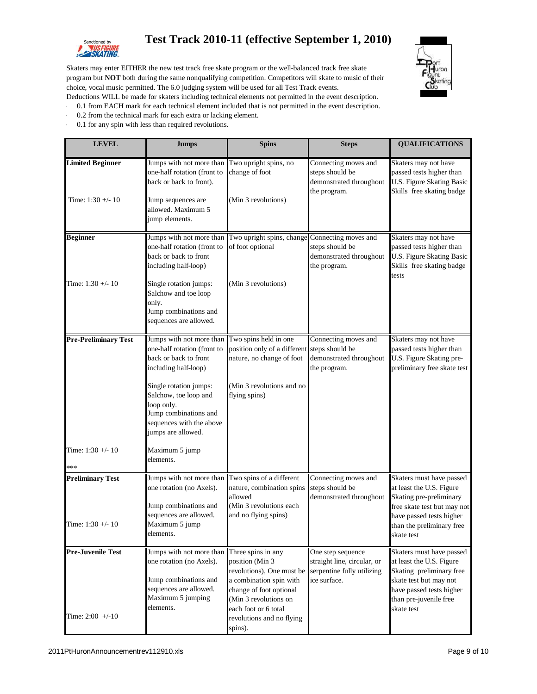

# Sanctioned by **Test Track 2010-11 (effective September 1, 2010)**



Skaters may enter EITHER the new test track free skate program or the well-balanced track free skate program but **NOT** both during the same nonqualifying competition. Competitors will skate to music of their choice, vocal music permitted. The 6.0 judging system will be used for all Test Track events.

- Deductions WILL be made for skaters including technical elements not permitted in the event description.
- · 0.1 from EACH mark for each technical element included that is not permitted in the event description.
- 0.2 from the technical mark for each extra or lacking element.
- · 0.1 for any spin with less than required revolutions.

| <b>LEVEL</b>                                   | <b>Jumps</b>                                                                                                                                                                                                                                         | <b>Spins</b>                                                                                                                                                                                                                                 | <b>Steps</b>                                                                       | <b>QUALIFICATIONS</b>                                                                                                                                                                 |
|------------------------------------------------|------------------------------------------------------------------------------------------------------------------------------------------------------------------------------------------------------------------------------------------------------|----------------------------------------------------------------------------------------------------------------------------------------------------------------------------------------------------------------------------------------------|------------------------------------------------------------------------------------|---------------------------------------------------------------------------------------------------------------------------------------------------------------------------------------|
| <b>Limited Beginner</b><br>Time: $1:30 + -10$  | Jumps with not more than<br>one-half rotation (front to<br>back or back to front).<br>Jump sequences are<br>allowed. Maximum 5<br>jump elements.                                                                                                     | Two upright spins, no<br>change of foot<br>(Min 3 revolutions)                                                                                                                                                                               | Connecting moves and<br>steps should be<br>demonstrated throughout<br>the program. | Skaters may not have<br>passed tests higher than<br>U.S. Figure Skating Basic<br>Skills free skating badge                                                                            |
| <b>Beginner</b>                                | Jumps with not more than<br>one-half rotation (front to<br>back or back to front<br>including half-loop)                                                                                                                                             | Two upright spins, change Connecting moves and<br>of foot optional                                                                                                                                                                           | steps should be<br>demonstrated throughout<br>the program.                         | Skaters may not have<br>passed tests higher than<br><b>U.S. Figure Skating Basic</b><br>Skills free skating badge<br>tests                                                            |
| Time: $1:30 + -10$                             | Single rotation jumps:<br>Salchow and toe loop<br>only.<br>Jump combinations and<br>sequences are allowed.                                                                                                                                           | (Min 3 revolutions)                                                                                                                                                                                                                          |                                                                                    |                                                                                                                                                                                       |
| <b>Pre-Preliminary Test</b>                    | Jumps with not more than<br>one-half rotation (front to<br>back or back to front<br>including half-loop)<br>Single rotation jumps:<br>Salchow, toe loop and<br>loop only.<br>Jump combinations and<br>sequences with the above<br>jumps are allowed. | Two spins held in one<br>position only of a different steps should be<br>nature, no change of foot<br>(Min 3 revolutions and no<br>flying spins)                                                                                             | Connecting moves and<br>demonstrated throughout<br>the program.                    | Skaters may not have<br>passed tests higher than<br>U.S. Figure Skating pre-<br>preliminary free skate test                                                                           |
| Time: $1:30 + -10$<br>***                      | Maximum 5 jump<br>elements.                                                                                                                                                                                                                          |                                                                                                                                                                                                                                              |                                                                                    |                                                                                                                                                                                       |
| <b>Preliminary Test</b><br>Time: 1:30 +/- 10   | Jumps with not more than<br>one rotation (no Axels).<br>Jump combinations and<br>sequences are allowed.<br>Maximum 5 jump<br>elements.                                                                                                               | Two spins of a different<br>nature, combination spins<br>allowed<br>(Min 3 revolutions each<br>and no flying spins)                                                                                                                          | Connecting moves and<br>steps should be<br>demonstrated throughout                 | Skaters must have passed<br>at least the U.S. Figure<br>Skating pre-preliminary<br>free skate test but may not<br>have passed tests higher<br>than the preliminary free<br>skate test |
| <b>Pre-Juvenile Test</b><br>Time: $2:00 +/-10$ | Jumps with not more than<br>one rotation (no Axels).<br>Jump combinations and<br>sequences are allowed.<br>Maximum 5 jumping<br>elements.                                                                                                            | Three spins in any<br>position (Min 3<br>revolutions), One must be serpentine fully utilizing<br>a combination spin with<br>change of foot optional<br>(Min 3 revolutions on<br>each foot or 6 total<br>revolutions and no flying<br>spins). | One step sequence<br>straight line, circular, or<br>ice surface.                   | Skaters must have passed<br>at least the U.S. Figure<br>Skating preliminary free<br>skate test but may not<br>have passed tests higher<br>than pre-juvenile free<br>skate test        |